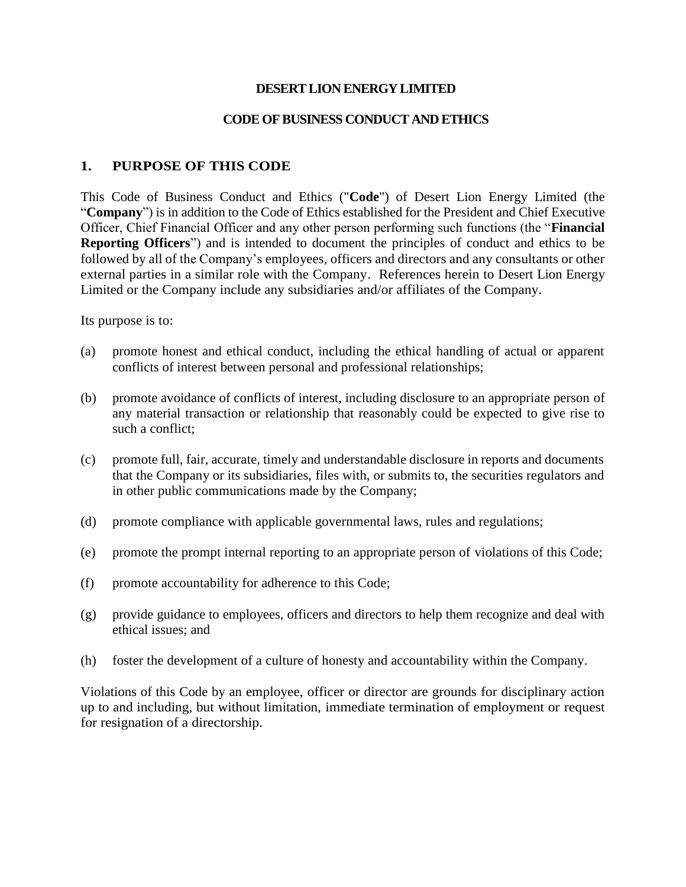### **DESERT LION ENERGY LIMITED**

#### **CODE OF BUSINESS CONDUCT AND ETHICS**

### **1. PURPOSE OF THIS CODE**

This Code of Business Conduct and Ethics ("**Code**") of Desert Lion Energy Limited (the "**Company**") is in addition to the Code of Ethics established for the President and Chief Executive Officer, Chief Financial Officer and any other person performing such functions (the "**Financial Reporting Officers**") and is intended to document the principles of conduct and ethics to be followed by all of the Company's employees, officers and directors and any consultants or other external parties in a similar role with the Company. References herein to Desert Lion Energy Limited or the Company include any subsidiaries and/or affiliates of the Company.

Its purpose is to:

- (a) promote honest and ethical conduct, including the ethical handling of actual or apparent conflicts of interest between personal and professional relationships;
- (b) promote avoidance of conflicts of interest, including disclosure to an appropriate person of any material transaction or relationship that reasonably could be expected to give rise to such a conflict;
- (c) promote full, fair, accurate, timely and understandable disclosure in reports and documents that the Company or its subsidiaries, files with, or submits to, the securities regulators and in other public communications made by the Company;
- (d) promote compliance with applicable governmental laws, rules and regulations;
- (e) promote the prompt internal reporting to an appropriate person of violations of this Code;
- (f) promote accountability for adherence to this Code;
- (g) provide guidance to employees, officers and directors to help them recognize and deal with ethical issues; and
- (h) foster the development of a culture of honesty and accountability within the Company.

Violations of this Code by an employee, officer or director are grounds for disciplinary action up to and including, but without limitation, immediate termination of employment or request for resignation of a directorship.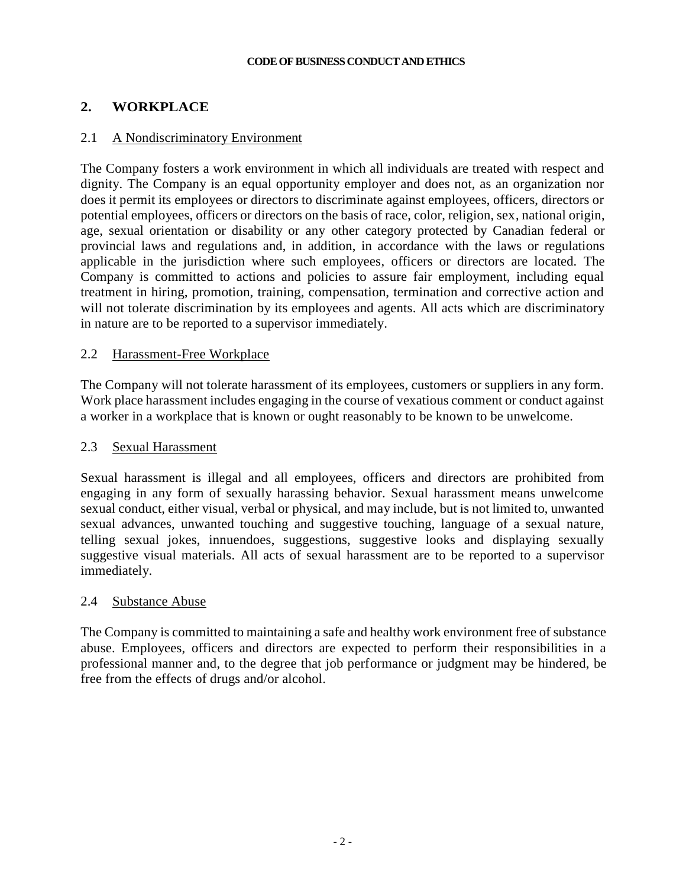# **2. WORKPLACE**

### 2.1 A Nondiscriminatory Environment

The Company fosters a work environment in which all individuals are treated with respect and dignity. The Company is an equal opportunity employer and does not, as an organization nor does it permit its employees or directors to discriminate against employees, officers, directors or potential employees, officers or directors on the basis of race, color, religion, sex, national origin, age, sexual orientation or disability or any other category protected by Canadian federal or provincial laws and regulations and, in addition, in accordance with the laws or regulations applicable in the jurisdiction where such employees, officers or directors are located. The Company is committed to actions and policies to assure fair employment, including equal treatment in hiring, promotion, training, compensation, termination and corrective action and will not tolerate discrimination by its employees and agents. All acts which are discriminatory in nature are to be reported to a supervisor immediately.

### 2.2 Harassment-Free Workplace

The Company will not tolerate harassment of its employees, customers or suppliers in any form. Work place harassment includes engaging in the course of vexatious comment or conduct against a worker in a workplace that is known or ought reasonably to be known to be unwelcome.

#### 2.3 Sexual Harassment

Sexual harassment is illegal and all employees, officers and directors are prohibited from engaging in any form of sexually harassing behavior. Sexual harassment means unwelcome sexual conduct, either visual, verbal or physical, and may include, but is not limited to, unwanted sexual advances, unwanted touching and suggestive touching, language of a sexual nature, telling sexual jokes, innuendoes, suggestions, suggestive looks and displaying sexually suggestive visual materials. All acts of sexual harassment are to be reported to a supervisor immediately.

#### 2.4 Substance Abuse

The Company is committed to maintaining a safe and healthy work environment free of substance abuse. Employees, officers and directors are expected to perform their responsibilities in a professional manner and, to the degree that job performance or judgment may be hindered, be free from the effects of drugs and/or alcohol.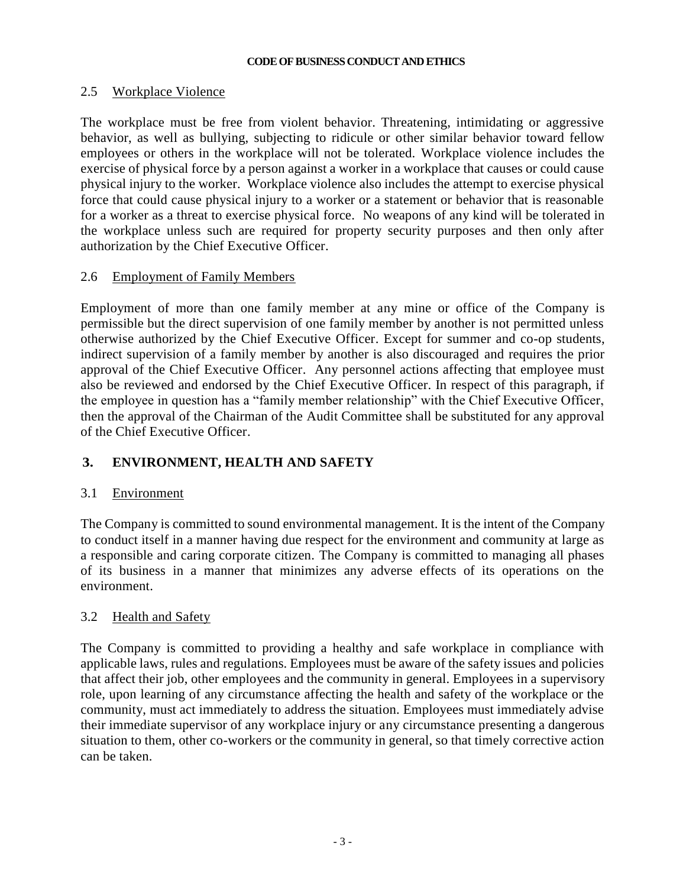#### 2.5 Workplace Violence

The workplace must be free from violent behavior. Threatening, intimidating or aggressive behavior, as well as bullying, subjecting to ridicule or other similar behavior toward fellow employees or others in the workplace will not be tolerated. Workplace violence includes the exercise of physical force by a person against a worker in a workplace that causes or could cause physical injury to the worker. Workplace violence also includes the attempt to exercise physical force that could cause physical injury to a worker or a statement or behavior that is reasonable for a worker as a threat to exercise physical force. No weapons of any kind will be tolerated in the workplace unless such are required for property security purposes and then only after authorization by the Chief Executive Officer.

## 2.6 Employment of Family Members

Employment of more than one family member at any mine or office of the Company is permissible but the direct supervision of one family member by another is not permitted unless otherwise authorized by the Chief Executive Officer. Except for summer and co-op students, indirect supervision of a family member by another is also discouraged and requires the prior approval of the Chief Executive Officer. Any personnel actions affecting that employee must also be reviewed and endorsed by the Chief Executive Officer. In respect of this paragraph, if the employee in question has a "family member relationship" with the Chief Executive Officer, then the approval of the Chairman of the Audit Committee shall be substituted for any approval of the Chief Executive Officer.

# **3. ENVIRONMENT, HEALTH AND SAFETY**

## 3.1 Environment

The Company is committed to sound environmental management. It is the intent of the Company to conduct itself in a manner having due respect for the environment and community at large as a responsible and caring corporate citizen. The Company is committed to managing all phases of its business in a manner that minimizes any adverse effects of its operations on the environment.

## 3.2 Health and Safety

The Company is committed to providing a healthy and safe workplace in compliance with applicable laws, rules and regulations. Employees must be aware of the safety issues and policies that affect their job, other employees and the community in general. Employees in a supervisory role, upon learning of any circumstance affecting the health and safety of the workplace or the community, must act immediately to address the situation. Employees must immediately advise their immediate supervisor of any workplace injury or any circumstance presenting a dangerous situation to them, other co-workers or the community in general, so that timely corrective action can be taken.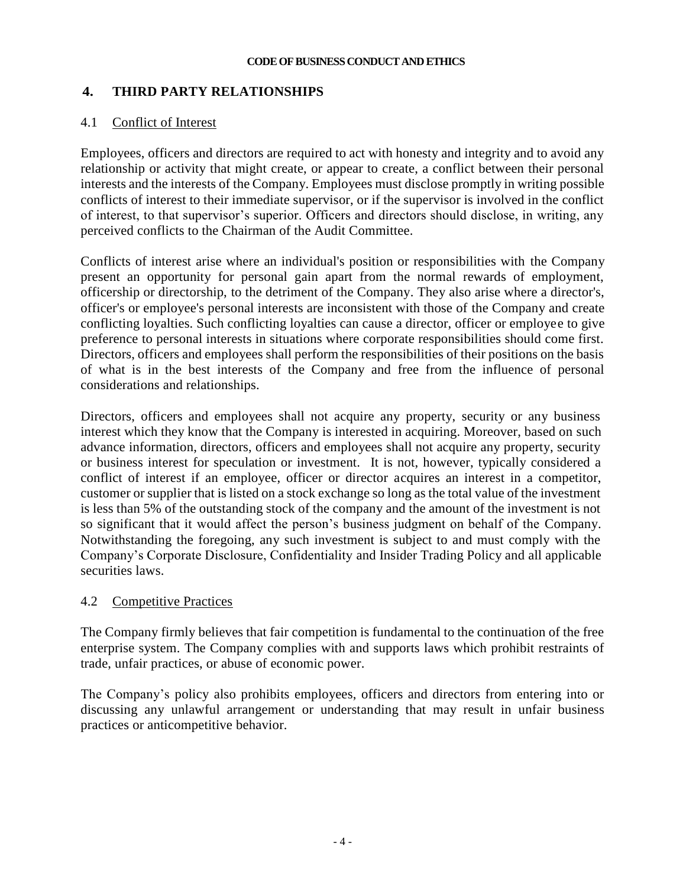# **4. THIRD PARTY RELATIONSHIPS**

# 4.1 Conflict of Interest

Employees, officers and directors are required to act with honesty and integrity and to avoid any relationship or activity that might create, or appear to create, a conflict between their personal interests and the interests of the Company. Employees must disclose promptly in writing possible conflicts of interest to their immediate supervisor, or if the supervisor is involved in the conflict of interest, to that supervisor's superior. Officers and directors should disclose, in writing, any perceived conflicts to the Chairman of the Audit Committee.

Conflicts of interest arise where an individual's position or responsibilities with the Company present an opportunity for personal gain apart from the normal rewards of employment, officership or directorship, to the detriment of the Company. They also arise where a director's, officer's or employee's personal interests are inconsistent with those of the Company and create conflicting loyalties. Such conflicting loyalties can cause a director, officer or employee to give preference to personal interests in situations where corporate responsibilities should come first. Directors, officers and employees shall perform the responsibilities of their positions on the basis of what is in the best interests of the Company and free from the influence of personal considerations and relationships.

Directors, officers and employees shall not acquire any property, security or any business interest which they know that the Company is interested in acquiring. Moreover, based on such advance information, directors, officers and employees shall not acquire any property, security or business interest for speculation or investment. It is not, however, typically considered a conflict of interest if an employee, officer or director acquires an interest in a competitor, customer or supplier that is listed on a stock exchange so long as the total value of the investment is less than 5% of the outstanding stock of the company and the amount of the investment is not so significant that it would affect the person's business judgment on behalf of the Company. Notwithstanding the foregoing, any such investment is subject to and must comply with the Company's Corporate Disclosure, Confidentiality and Insider Trading Policy and all applicable securities laws.

## 4.2 Competitive Practices

The Company firmly believes that fair competition is fundamental to the continuation of the free enterprise system. The Company complies with and supports laws which prohibit restraints of trade, unfair practices, or abuse of economic power.

The Company's policy also prohibits employees, officers and directors from entering into or discussing any unlawful arrangement or understanding that may result in unfair business practices or anticompetitive behavior.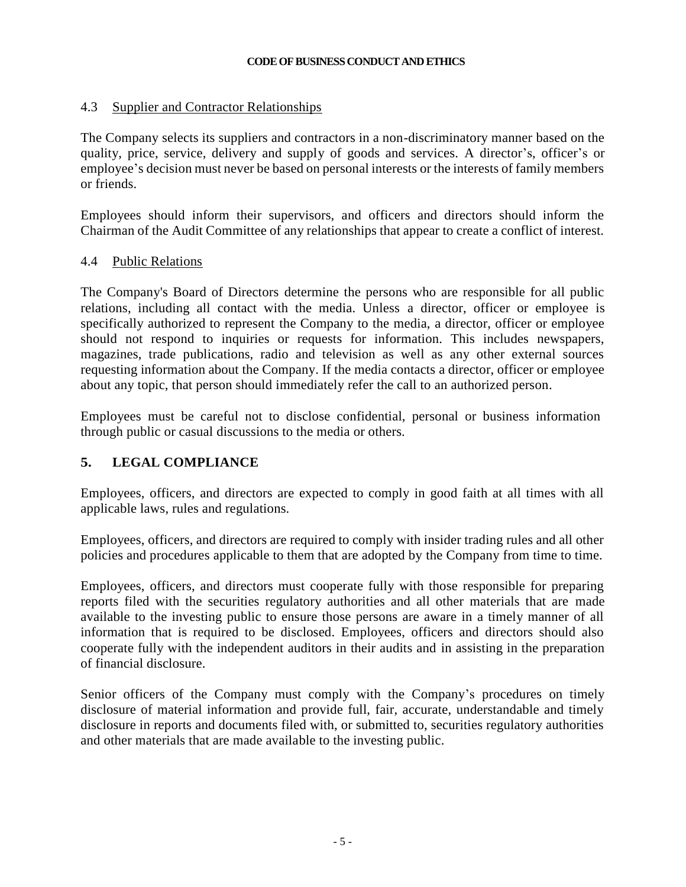### 4.3 Supplier and Contractor Relationships

The Company selects its suppliers and contractors in a non-discriminatory manner based on the quality, price, service, delivery and supply of goods and services. A director's, officer's or employee's decision must never be based on personal interests or the interests of family members or friends.

Employees should inform their supervisors, and officers and directors should inform the Chairman of the Audit Committee of any relationships that appear to create a conflict of interest.

### 4.4 Public Relations

The Company's Board of Directors determine the persons who are responsible for all public relations, including all contact with the media. Unless a director, officer or employee is specifically authorized to represent the Company to the media, a director, officer or employee should not respond to inquiries or requests for information. This includes newspapers, magazines, trade publications, radio and television as well as any other external sources requesting information about the Company. If the media contacts a director, officer or employee about any topic, that person should immediately refer the call to an authorized person.

Employees must be careful not to disclose confidential, personal or business information through public or casual discussions to the media or others.

## **5. LEGAL COMPLIANCE**

Employees, officers, and directors are expected to comply in good faith at all times with all applicable laws, rules and regulations.

Employees, officers, and directors are required to comply with insider trading rules and all other policies and procedures applicable to them that are adopted by the Company from time to time.

Employees, officers, and directors must cooperate fully with those responsible for preparing reports filed with the securities regulatory authorities and all other materials that are made available to the investing public to ensure those persons are aware in a timely manner of all information that is required to be disclosed. Employees, officers and directors should also cooperate fully with the independent auditors in their audits and in assisting in the preparation of financial disclosure.

Senior officers of the Company must comply with the Company's procedures on timely disclosure of material information and provide full, fair, accurate, understandable and timely disclosure in reports and documents filed with, or submitted to, securities regulatory authorities and other materials that are made available to the investing public.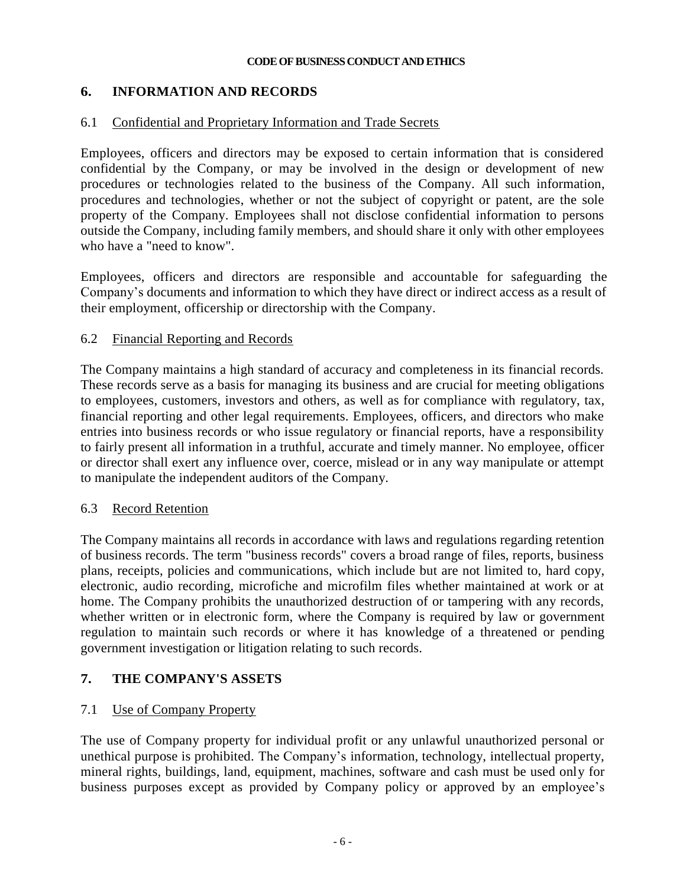# **6. INFORMATION AND RECORDS**

## 6.1 Confidential and Proprietary Information and Trade Secrets

Employees, officers and directors may be exposed to certain information that is considered confidential by the Company, or may be involved in the design or development of new procedures or technologies related to the business of the Company. All such information, procedures and technologies, whether or not the subject of copyright or patent, are the sole property of the Company. Employees shall not disclose confidential information to persons outside the Company, including family members, and should share it only with other employees who have a "need to know".

Employees, officers and directors are responsible and accountable for safeguarding the Company's documents and information to which they have direct or indirect access as a result of their employment, officership or directorship with the Company.

## 6.2 Financial Reporting and Records

The Company maintains a high standard of accuracy and completeness in its financial records. These records serve as a basis for managing its business and are crucial for meeting obligations to employees, customers, investors and others, as well as for compliance with regulatory, tax, financial reporting and other legal requirements. Employees, officers, and directors who make entries into business records or who issue regulatory or financial reports, have a responsibility to fairly present all information in a truthful, accurate and timely manner. No employee, officer or director shall exert any influence over, coerce, mislead or in any way manipulate or attempt to manipulate the independent auditors of the Company.

## 6.3 Record Retention

The Company maintains all records in accordance with laws and regulations regarding retention of business records. The term "business records" covers a broad range of files, reports, business plans, receipts, policies and communications, which include but are not limited to, hard copy, electronic, audio recording, microfiche and microfilm files whether maintained at work or at home. The Company prohibits the unauthorized destruction of or tampering with any records, whether written or in electronic form, where the Company is required by law or government regulation to maintain such records or where it has knowledge of a threatened or pending government investigation or litigation relating to such records.

# **7. THE COMPANY'S ASSETS**

## 7.1 Use of Company Property

The use of Company property for individual profit or any unlawful unauthorized personal or unethical purpose is prohibited. The Company's information, technology, intellectual property, mineral rights, buildings, land, equipment, machines, software and cash must be used only for business purposes except as provided by Company policy or approved by an employee's